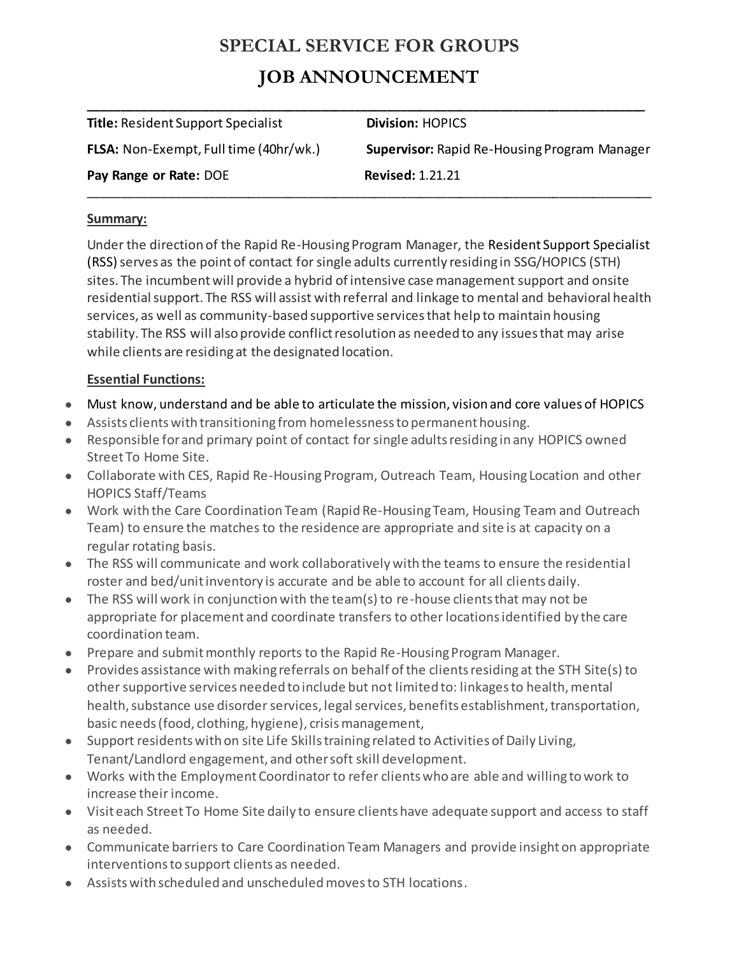# **SPECIAL SERVICE FOR GROUPS JOB ANNOUNCEMENT**

| <b>Title: Resident Support Specialist</b>     | <b>Division: HOPICS</b>                             |
|-----------------------------------------------|-----------------------------------------------------|
| <b>FLSA:</b> Non-Exempt, Full time (40hr/wk.) | <b>Supervisor: Rapid Re-Housing Program Manager</b> |
| Pay Range or Rate: DOE                        | <b>Revised: 1.21.21</b>                             |
|                                               |                                                     |

#### **Summary:**

Under the direction of the Rapid Re-Housing Program Manager, the Resident Support Specialist (RSS) serves as the point of contact for single adults currently residing in SSG/HOPICS (STH) sites. The incumbent will provide a hybrid of intensive case management support and onsite residential support. The RSS will assist with referral and linkage to mental and behavioral health services, as well as community-based supportive services that help to maintain housing stability. The RSS will also provide conflict resolution as needed to any issues that may arise while clients are residing at the designated location.

### **Essential Functions:**

- Must know, understand and be able to articulate the mission, vision and core values of HOPICS
- Assists clients with transitioning from homelessness to permanent housing.
- Responsible for and primary point of contact for single adults residing in any HOPICS owned Street To Home Site.
- Collaborate with CES, Rapid Re-Housing Program, Outreach Team, Housing Location and other HOPICS Staff/Teams
- Work with the Care Coordination Team (Rapid Re-Housing Team, Housing Team and Outreach Team) to ensure the matches to the residence are appropriate and site is at capacity on a regular rotating basis.
- The RSS will communicate and work collaboratively with the teams to ensure the residential roster and bed/unit inventory is accurate and be able to account for all clients daily.
- The RSS will work in conjunction with the team(s) to re-house clients that may not be appropriate for placement and coordinate transfers to other locations identified by the care coordination team.
- Prepare and submit monthly reports to the Rapid Re-Housing Program Manager.
- Provides assistance with making referrals on behalf of the clients residing at the STH Site(s) to other supportive services needed to include but not limited to: linkages to health, mental health, substance use disorder services, legal services, benefits establishment, transportation, basic needs (food, clothing, hygiene), crisis management,
- Support residents with on site Life Skills training related to Activities of Daily Living, Tenant/Landlord engagement, and other soft skill development.
- Works with the Employment Coordinator to refer clients who are able and willing to work to increase their income.
- Visit each Street To Home Site daily to ensure clients have adequate support and access to staff as needed.
- Communicate barriers to Care Coordination Team Managers and provide insight on appropriate interventions to support clients as needed.
- Assists with scheduled and unscheduled moves to STH locations.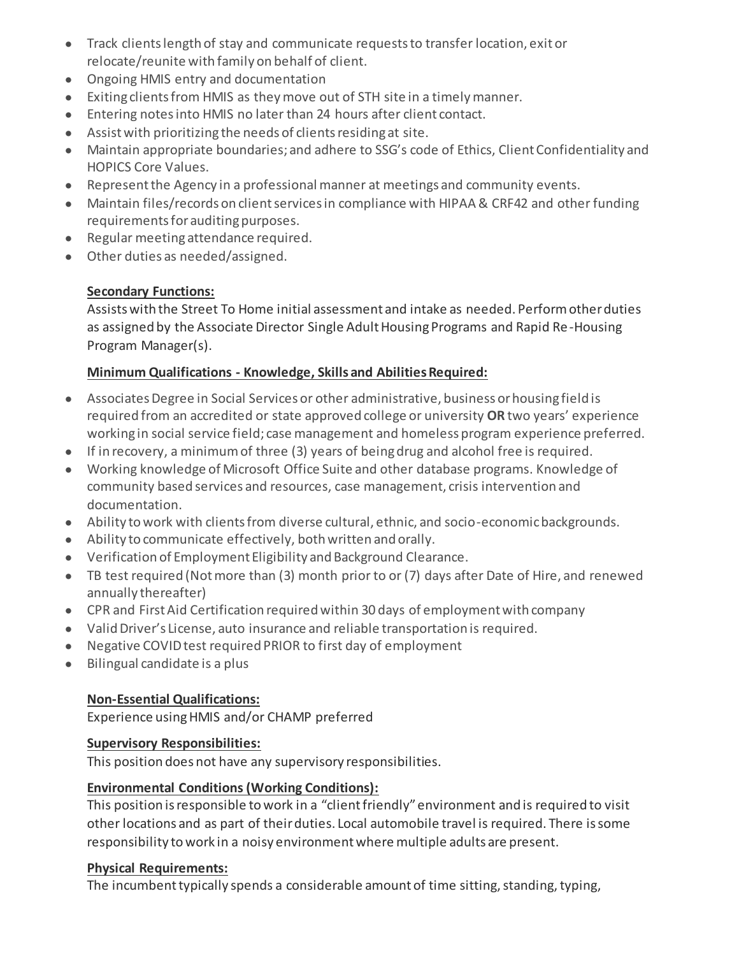- Track clients length of stay and communicate requests to transfer location, exit or relocate/reunite with family on behalf of client.
- Ongoing HMIS entry and documentation
- Exiting clients from HMIS as they move out of STH site in a timely manner.
- Entering notes into HMIS no later than 24 hours after client contact.
- Assist with prioritizing the needs of clients residing at site.
- Maintain appropriate boundaries; and adhere to SSG's code of Ethics, Client Confidentiality and HOPICS Core Values.
- Represent the Agency in a professional manner at meetings and community events.
- Maintain files/records on client services in compliance with HIPAA & CRF42 and other funding requirements for auditing purposes.
- Regular meeting attendance required.
- Other duties as needed/assigned.

# **Secondary Functions:**

Assists with the Street To Home initial assessment and intake as needed. Perform other duties as assigned by the Associate Director Single Adult Housing Programs and Rapid Re-Housing Program Manager(s).

# **Minimum Qualifications - Knowledge, Skills and Abilities Required:**

- Associates Degree in Social Services or other administrative, business or housing field is required from an accredited or state approved college or university **OR** two years' experience working in social service field; case management and homeless program experience preferred.
- If in recovery, a minimum of three (3) years of being drug and alcohol free is required.
- Working knowledge of Microsoft Office Suite and other database programs. Knowledge of community based services and resources, case management, crisis intervention and documentation.
- Ability to work with clients from diverse cultural, ethnic, and socio-economic backgrounds.
- Ability to communicate effectively, both written and orally.
- Verification of Employment Eligibility and Background Clearance.
- TB test required (Not more than (3) month prior to or (7) days after Date of Hire, and renewed annually thereafter)
- CPR and First Aid Certification required within 30 days of employment with company
- Valid Driver's License, auto insurance and reliable transportation is required.
- Negative COVID test required PRIOR to first day of employment
- Bilingual candidate is a plus

### **Non-Essential Qualifications:**

Experience using HMIS and/or CHAMP preferred

### **Supervisory Responsibilities:**

This position does not have any supervisory responsibilities.

### **Environmental Conditions (Working Conditions):**

This position is responsible to work in a "client friendly" environment and is required to visit other locations and as part of their duties. Local automobile travel is required. There is some responsibility to work in a noisy environment where multiple adults are present.

### **Physical Requirements:**

The incumbent typically spends a considerable amount of time sitting, standing, typing,